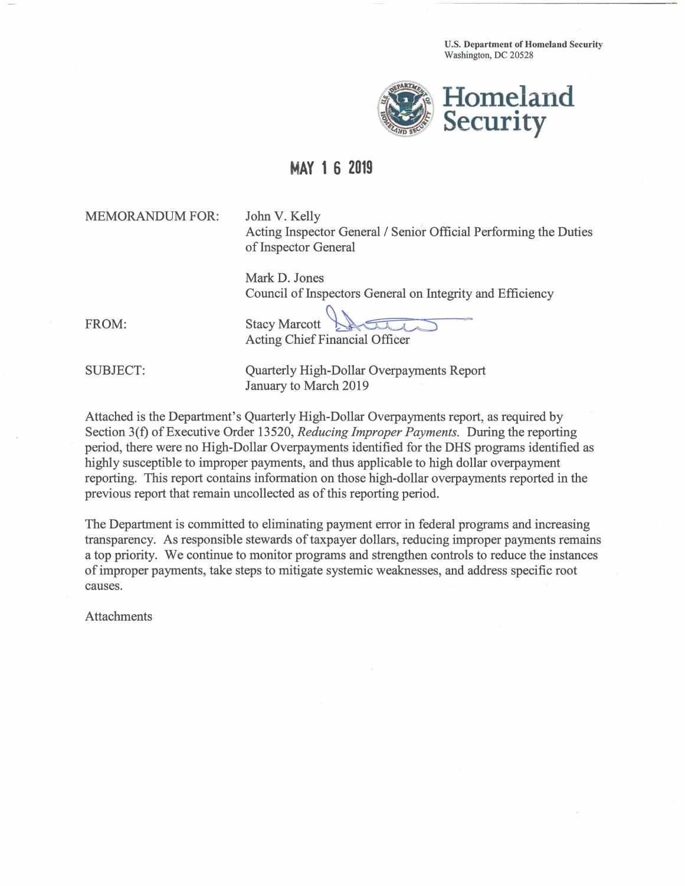U.S. Department of Homeland Security Washington, DC 20528



## **MAY1 6 2019**

MEMORANDUM FOR: John V. Kelly

Acting Inspector General / Senior Official Performing the Duties of Inspector General

Mark D. Jones

FROM:

Council of Inspectors General on Integrity and Efficiency Stacy Marcott ~-~ Acting Chief Financial Officer

SUBJECT: Quarterly High-Dollar Overpayments Report January to March 2019

Attached is the Department's Quarterly High-Dollar Overpayments report, as required by Section 3(f) of Executive Order 13520, *Reducing Improper Payments.* During the reporting period, there were no High-Dollar Overpayments identified for the DHS programs identified as highly susceptible to improper payments, and thus applicable to high dollar overpayment reporting. This report contains information on those high-dollar overpayments reported in the previous report that remain uncollected as of this reporting period.

The Department is committed to eliminating payment error in federal programs and increasing transparency. As responsible stewards of taxpayer dollars, reducing improper payments remains a top priority. We continue to monitor programs and strengthen controls to reduce the instances of improper payments, take steps to mitigate systemic weaknesses, and address specific root causes.

Attachments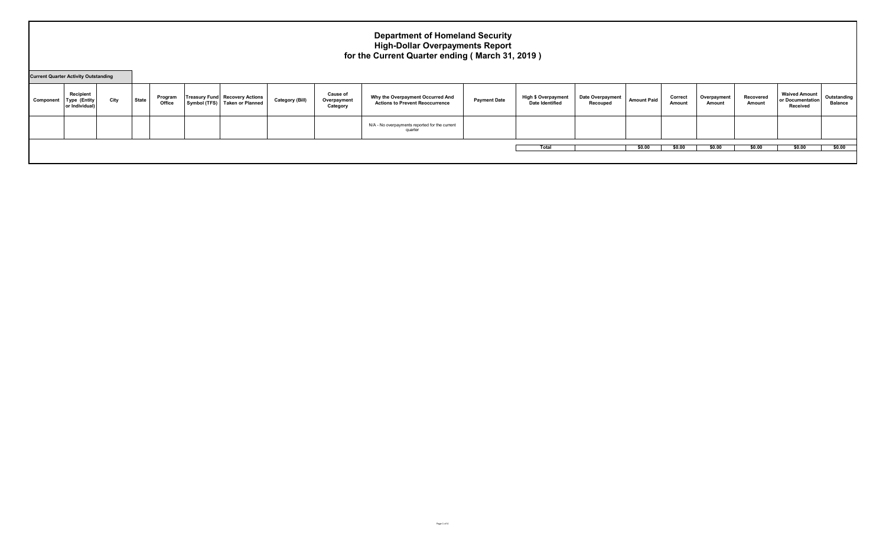#### **Department of Homeland Security High-Dollar Overpayments Report for the Current Quarter ending ( March 31, 2019 )**

| <b>Current Quarter Activity Outstanding</b> |                                                    |      |       |                   |                                                                        |                        |                                            |                                                                            |                     |                                                      |                                     |                    |                   |                       |                     |                                                      |                               |
|---------------------------------------------|----------------------------------------------------|------|-------|-------------------|------------------------------------------------------------------------|------------------------|--------------------------------------------|----------------------------------------------------------------------------|---------------------|------------------------------------------------------|-------------------------------------|--------------------|-------------------|-----------------------|---------------------|------------------------------------------------------|-------------------------------|
| Component                                   | Recipient<br><b>Type (Entity</b><br>or Individual) | City | State | Program<br>Office | <b>Treasury Fund Recovery Actions</b><br>Symbol (TFS) Taken or Planned | <b>Category (Bill)</b> | <b>Cause of</b><br>Overpayment<br>Category | Why the Overpayment Occurred And<br><b>Actions to Prevent Reoccurrence</b> | <b>Payment Date</b> | <b>High \$ Overpayment</b><br><b>Date Identified</b> | <b>Date Overpayment</b><br>Recouped | <b>Amount Paid</b> | Correct<br>Amount | Overpayment<br>Amount | Recovered<br>Amount | <b>Waived Amount</b><br>or Documentation<br>Received | Outstanding<br><b>Balance</b> |
|                                             |                                                    |      |       |                   |                                                                        |                        |                                            | N/A - No overpayments reported for the current<br>quarter                  |                     |                                                      |                                     |                    |                   |                       |                     |                                                      |                               |
|                                             |                                                    |      |       |                   |                                                                        |                        |                                            |                                                                            |                     | Total                                                |                                     | \$0.00             | \$0.00            | \$0.00                | \$0.00              | \$0.00                                               | \$0.00                        |
|                                             |                                                    |      |       |                   |                                                                        |                        |                                            |                                                                            |                     |                                                      |                                     |                    |                   |                       |                     |                                                      |                               |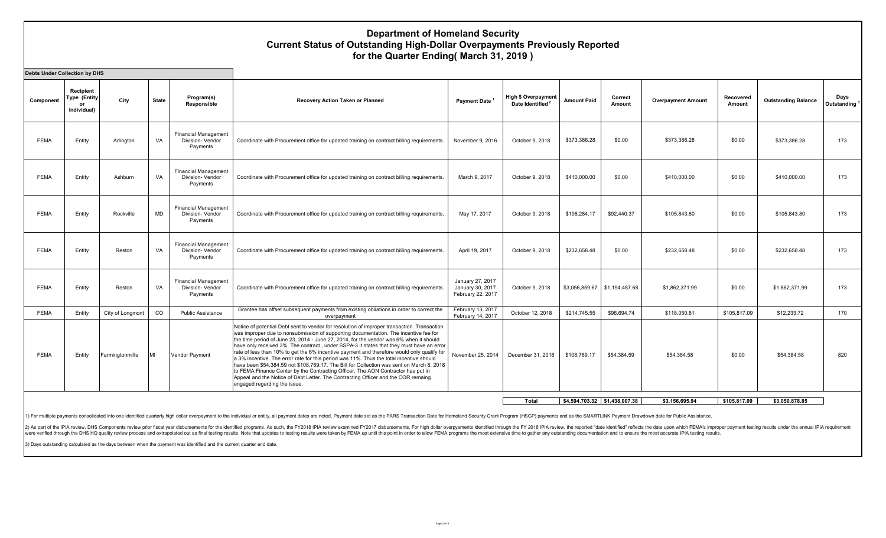#### **Department of Homeland Security Current Status of Outstanding High-Dollar Overpayments Previously Reported for the Quarter Ending( March 31, 2019 )**

**Component Recipient Type (Entity or Individual) City** State **Program(s) Responsible Recovery Action Taken or Planned Payment Date <sup>1</sup> <b>Payment Date 1 Payment Best Line Association Date Identified<sup>2</sup> Amount Paid Correct Amount Overpayment Amount Recovered Amount Outstanding Balance Days Outstanding <sup>3</sup>** FEMA | Entity | Arlington | VA Financial Management Division- Vendor Payments Coordinate with Procurement office for updated training on contract billing requirements. November 9, 2016 October 9, 2018 \$373,386.28 \$0.00 \$373,386.28 \$0.00 \$373,386.28 \$373,386.28 FEMA Entity Ashburn VA Financial Management Division- Vendor Payments Coordinate with Procurement office for updated training on contract billing requirements. March 9, 2017 Cctober 9, 2018 \$410,000.00 \$0.00 \$410,000.00 \$0.00 \$6410,000.00 \$410,000.00 \$410,000.00 \$410,000.00 173 FEMA Entity Rockville MD Financial Management Division- Vendor Payments Coordinate with Procurement office for updated training on contract billing requirements. May 17, 2017 Cctober 9, 2018 \$198,284.17 \$92,440.37 \$105,843.80 \$0.00 \$105,843.80 \$105,843.80 \$105,843.80 \$105,843.80 FEMA Entity Reston VA Financial Management Division- Vendor Payments Coordinate with Procurement office for updated training on contract billing requirements. April 19, 2017 Cctober 9, 2018 \$232,658.48 \$0.00 \$232,658.48 \$0.00 \$232,658.48 \$232,658.48 173 FEMA | Entity | Reston | VA Financial Management Division- Vendor Payments Coordinate with Procurement office for updated training on contract billing requirements. January 27, 2017 January 30, 2017 February 22, 2017 October 9, 2018 | \$3,056,859.67 | \$1,194,487.68 | \$1,862,371.99 | \$0.00 | \$1,862,371.99 | 173 FEMA Entity City of Longmont CO Public Assistance Grantee has offset subsequent payments from existing obliations in order to correct the overpayment February 13, 2017 - Cortain, 13, 2017 | October 12, 2018 | \$214,745.55 | \$96,694.74 | \$118,050.81 | \$105,817.09 | \$12,233.72 | 170<br>February 14, 2017 | October 12, 2018 | \$214,745.55 | \$96,694.74 | \$118,050.81 | \$105,817.09 | \$12,233.72 | 17 FEMA Entity Farmingtonmills MI Vendor Payment Notice of potential Debt sent to vendor for resolution of improper transaction. Transaction was improper due to nonsubmission of supporting documentation. The incentive fee for the time period of June 23, 2014 - June 27, 2014, for the vendor was 6% when it should have only received 3%. The contract , under SSPA-3 it states that they must have an error rate of less than 10% to get the 6% incentive payment and therefore would only qualify for a 3% incentive. The error rate for this period was 11%. Thus the total incentive should have been \$54,384.59 not \$108,769.17. The Bill for Collection was sent on March 8, 2018 to FEMA Finance Center by the Contracting Officer. The AON Contractor has put in Appeal and the Notice of Debt Letter. The Contracting Officer and the COR remaing engaged regarding the issue. November 25, 2014 | December 31, 2016 | \$108,769.17 | \$54,384.59 | \$54,384.58 | \$0.00 | \$54,384.58 | 820 **Total \$4,594,703.32 \$1,438,007.38 \$3,156,695.94 \$105,817.09 \$3,050,878.85 Debts Under Collection by DHS**

For multiple payments consolidated into one identified quarterly high dollar overpayment to the individual or entity, all payment dates are noted. Payment dates set as the PARS Transaction Date for Homeland Security Grant

2) As part of the IPIA review, DHS Components review prior fiscal year disbursements for the identified programs. As such, the FY2018 IPIA review examined FY2017 disbursements. For high dollar overpyaments identified throu were verified through the DHS HQ quality review process and extrapolated out as final testing results. Note that updates to testing results were taken by FEMA up until this point in order to allow FEMA programs the most ex

3) Days outstanding calculated as the days between when the payment was identified and the current quarter end date.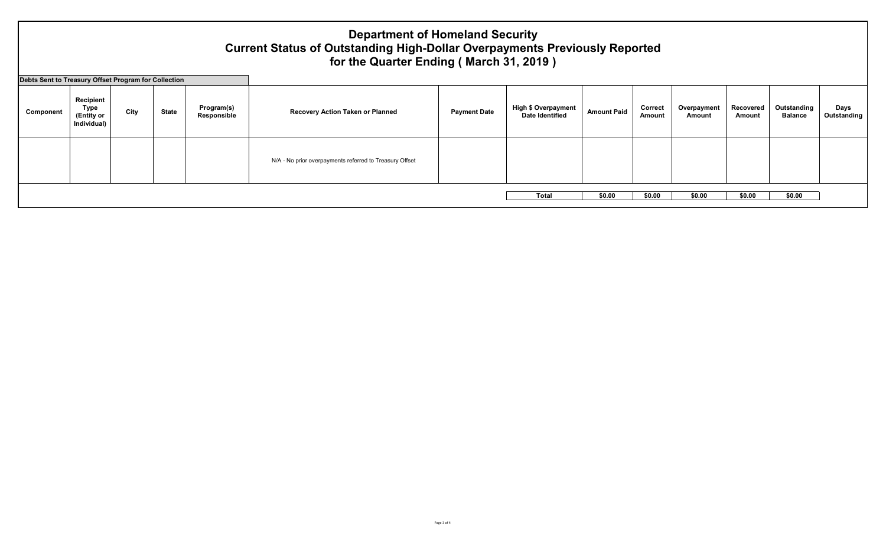# **Department of Homeland Security Current Status of Outstanding High-Dollar Overpayments Previously Reported for the Quarter Ending ( March 31, 2019 )**

**Debts Sent to Treasury Offset Program for Collection**

| Debts Sent to Treasury Offset Program for Collection |                                                |      |       |                           |                                                         |                     |                                                      |                    |                   |                       |                     |                               |                     |
|------------------------------------------------------|------------------------------------------------|------|-------|---------------------------|---------------------------------------------------------|---------------------|------------------------------------------------------|--------------------|-------------------|-----------------------|---------------------|-------------------------------|---------------------|
| Component                                            | Recipient<br>Type<br>(Entity or<br>Individual) | City | State | Program(s)<br>Responsible | Recovery Action Taken or Planned                        | <b>Payment Date</b> | <b>High \$ Overpayment</b><br><b>Date Identified</b> | <b>Amount Paid</b> | Correct<br>Amount | Overpayment<br>Amount | Recovered<br>Amount | Outstanding<br><b>Balance</b> | Days<br>Outstanding |
|                                                      |                                                |      |       |                           | N/A - No prior overpayments referred to Treasury Offset |                     |                                                      |                    |                   |                       |                     |                               |                     |
|                                                      |                                                |      |       |                           |                                                         |                     |                                                      | \$0.00             | \$0.00            | \$0.00                | \$0.00              | \$0.00                        |                     |